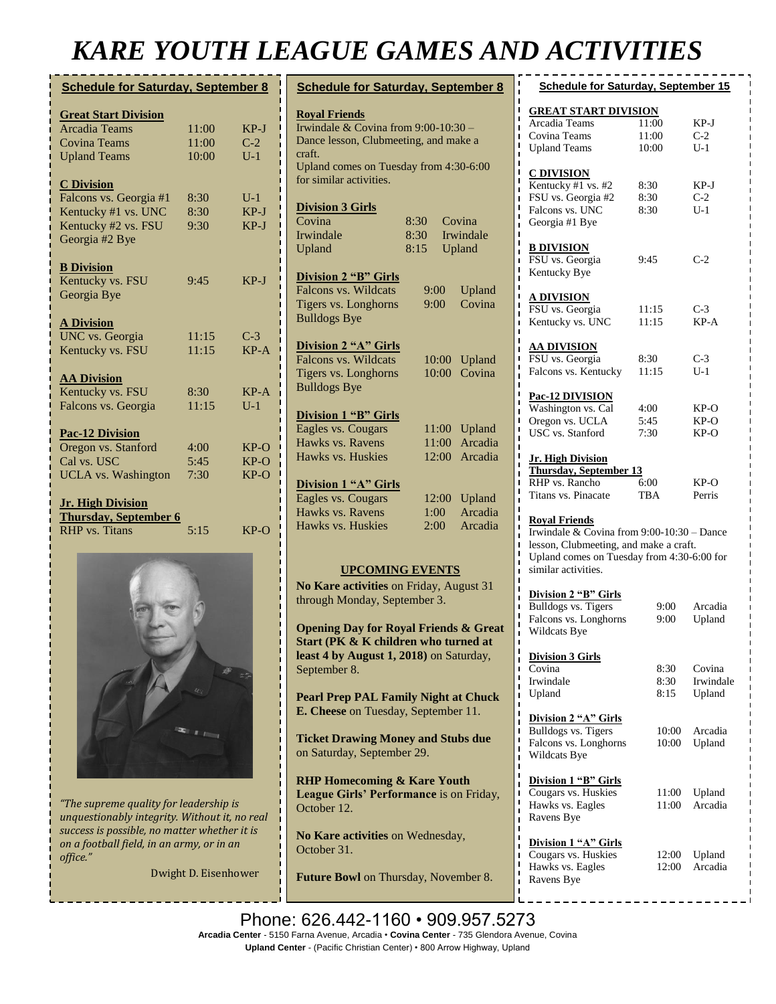## *KARE YOUTH LEAGUE GAMES AND ACTIVITIES*

| <b>Schedule for Saturday, September 8</b> |       |                  |  |
|-------------------------------------------|-------|------------------|--|
| <b>Great Start Division</b>               |       |                  |  |
| <b>Arcadia Teams</b>                      | 11:00 | KP-J             |  |
| <b>Covina Teams</b>                       | 11:00 | $C-2$            |  |
| <b>Upland Teams</b>                       | 10:00 | $\overline{U-1}$ |  |
| <b>C</b> Division                         |       |                  |  |
| Falcons vs. Georgia #1                    | 8:30  | $U-1$            |  |
| Kentucky #1 vs. UNC                       | 8:30  | $KP-J$           |  |
| Kentucky #2 vs. FSU                       | 9:30  | $KP-J$           |  |
| Georgia #2 Bye                            |       |                  |  |
| <b>B</b> Division                         |       |                  |  |
| Kentucky vs. FSU                          | 9:45  | $KP-J$           |  |
| Georgia Bye                               |       |                  |  |
| <b>A Division</b>                         |       |                  |  |
| UNC vs. Georgia                           | 11:15 | $C-3$            |  |
| Kentucky vs. FSU                          | 11:15 | $KP-A$           |  |
| <b>AA Division</b>                        |       |                  |  |
| Kentucky vs. FSU                          | 8:30  | $KP-A$           |  |
| Falcons vs. Georgia                       | 11:15 | $U-1$            |  |
| <b>Pac-12 Division</b>                    |       |                  |  |
| Oregon vs. Stanford                       | 4:00  | KP-O             |  |
| Cal vs. USC                               | 5:45  | $KP-O$           |  |
| <b>UCLA</b> vs. Washington                | 7:30  | $KP-O$           |  |
| <b>Jr. High Division</b>                  |       |                  |  |
| <b>Thursday, September 6</b>              |       |                  |  |
| <b>RHP</b> vs. Titans                     | 5:15  | $KP-O$           |  |
|                                           |       |                  |  |



*"The supreme quality for leadership is unquestionably integrity. Without it, no real success is possible, no matter whether it is on a football field, in an army, or in an office."*

Dwight D. Eisenhower

| <b>Schedule for Saturday, September 8</b>                                                                                                                  | <b>Schee</b>                                                        |
|------------------------------------------------------------------------------------------------------------------------------------------------------------|---------------------------------------------------------------------|
| <b>Roval Friends</b><br>Irwindale & Covina from $9:00-10:30$ -<br>Dance lesson, Clubmeeting, and make a<br>craft.                                          | <b>GREAT</b><br>Arcadia '<br>Covina 7<br><b>Upland</b> <sub>7</sub> |
| Upland comes on Tuesday from 4:30-6:00<br>for similar activities.<br><b>Division 3 Girls</b><br>Covina<br>8:30<br>Covina<br>Irwindale<br>8:30<br>Irwindale | <b>C DIVIS</b><br>Kentuck<br>FSU vs.<br>ī<br>Falcons ·<br>Georgia   |
| 8:15<br>Upland<br>Upland<br><b>Division 2 "B" Girls</b><br>Falcons vs. Wildcats                                                                            | <b>B DIVIS</b><br>FSU vs.<br>Kentuck                                |
| 9:00<br>Upland<br>Covina<br>Tigers vs. Longhorns<br>9:00<br><b>Bulldogs Bye</b>                                                                            | <u>A DIVIS</u><br>FSU vs.<br>Kentuck                                |
| Division 2 "A" Girls<br>Falcons vs. Wildcats<br>Upland<br>10:00<br>Tigers vs. Longhorns<br>Covina<br>10:00<br><b>Bulldogs Bye</b>                          | <b>AA DIV</b><br>FSU vs.<br>Falcons '                               |
| <b>Division 1 "B" Girls</b><br>Eagles vs. Cougars<br>11:00<br>Upland<br>Hawks vs. Ravens<br>Arcadia<br>11:00                                               | Pac-12 I<br>Washing<br>Oregon v<br>USC vs.                          |
| 12:00<br>Hawks vs. Huskies<br>Arcadia<br><b>Division 1 "A" Girls</b><br>Eagles vs. Cougars<br>12:00<br>Upland<br>Hawks vs. Ravens<br>Arcadia<br>1:00       | Jr. High<br><b>Thursda</b><br>RHP vs.<br>П<br>Titans vs             |
| Hawks vs. Huskies<br>2:00<br>Arcadia                                                                                                                       | <b>Royal F</b><br>Irwindal<br>lesson, C<br>П<br>Upland c            |
| <b>UPCOMING EVENTS</b><br>No Kare activities on Friday, August 31<br>through Monday, September 3.                                                          | similar a<br>ī<br><b>Division</b><br><b>Bulldogs</b><br>Falcons '   |
| <b>Opening Day for Royal Friends &amp; Great</b><br>Start (PK & K children who turned at<br>least 4 by August 1, 2018) on Saturday,<br>September 8.        | ī<br>Wildcats<br>Ï<br>ı<br><b>Division</b><br>ı<br>Covina<br>ı<br>ı |
| <b>Pearl Prep PAL Family Night at Chuck</b><br>E. Cheese on Tuesday, September 11.                                                                         | Irwindal<br>ī<br>Upland<br>П<br><b>Division</b><br>ı                |
| <b>Ticket Drawing Money and Stubs due</b><br>on Saturday, September 29.                                                                                    | <b>Bulldogs</b><br>ı<br>ı<br>Falcons '<br>Wildcats<br>П<br>ī        |
| <b>RHP Homecoming &amp; Kare Youth</b><br>League Girls' Performance is on Friday,<br>October 12.                                                           | <b>Division</b><br>ī<br>Cougars<br>Hawks v<br>ı<br>Ravens I         |
| No Kare activities on Wednesday,<br>October 31.<br>Future Bowl on Thursday, November 8.                                                                    | П<br><b>Division</b><br>Cougars<br>ı<br>Hawks v                     |
|                                                                                                                                                            | Ravens I                                                            |

| <b>Schedule for Saturday, September 15</b>                                                                                                                                        |                      |                               |  |  |
|-----------------------------------------------------------------------------------------------------------------------------------------------------------------------------------|----------------------|-------------------------------|--|--|
| <b>GREAT START DIVISION</b><br>Arcadia Teams<br>11:00<br>KP-J                                                                                                                     |                      |                               |  |  |
| Covina Teams                                                                                                                                                                      | 11:00                | $C-2$                         |  |  |
| <b>Upland Teams</b>                                                                                                                                                               | 10:00                | $U-1$                         |  |  |
| <u>C DIVISION</u><br>Kentucky #1 vs. #2<br>FSU vs. Georgia #2<br>Falcons vs. UNC<br>Georgia #1 Bye                                                                                | 8:30<br>8:30<br>8:30 | KP-J<br>$C-2$<br>$U-1$        |  |  |
| <b>B DIVISION</b><br>FSU vs. Georgia<br>Kentucky Bye                                                                                                                              | 9:45                 | C-2                           |  |  |
| A DIVISION<br>FSU vs. Georgia<br>Kentucky vs. UNC                                                                                                                                 | 11:15<br>11:15       | C-3<br>KP-A                   |  |  |
| <u>AA DIVISION</u>                                                                                                                                                                |                      |                               |  |  |
| FSU vs. Georgia<br>Falcons vs. Kentucky                                                                                                                                           | 8:30<br>11:15        | $C-3$<br>$U-1$                |  |  |
|                                                                                                                                                                                   |                      |                               |  |  |
| Pac-12 DIVISION<br>Washington vs. Cal                                                                                                                                             | 4:00                 | KP-O                          |  |  |
| Oregon vs. UCLA                                                                                                                                                                   | 5:45                 | KP-O                          |  |  |
| USC vs. Stanford                                                                                                                                                                  | 7:30                 | KP-O                          |  |  |
| <b>Jr. High Division</b><br><b>Thursday, September 13</b><br>RHP vs. Rancho<br>6:00<br>KP-O<br>Titans vs. Pinacate<br>TBA<br>Perris                                               |                      |                               |  |  |
| <b>Royal Friends</b><br>Irwindale & Covina from 9:00-10:30 - Dance<br>lesson, Clubmeeting, and make a craft.<br>Upland comes on Tuesday from 4:30-6:00 for<br>similar activities. |                      |                               |  |  |
| Division 2 "B" Girls<br><b>Bulldogs vs. Tigers</b><br>Falcons vs. Longhorns<br>Wildcats Bye                                                                                       | 9:00<br>9:00         | Arcadia<br>Upland             |  |  |
| <b>Division 3 Girls</b><br>Covina<br>Irwindale<br>Upland                                                                                                                          | 8:30<br>8:30<br>8:15 | Covina<br>Irwindale<br>Upland |  |  |
| Division 2 "A" Girls<br><b>Bulldogs vs. Tigers</b><br>Falcons vs. Longhorns<br>Wildcats Bye                                                                                       | 10:00<br>10:00       | Arcadia<br>Upland             |  |  |
| Division 1 "B" Girls<br>Cougars vs. Huskies<br>Hawks vs. Eagles<br>Ravens Bye                                                                                                     | 11:00<br>11:00       | Upland<br>Arcadia             |  |  |
| Division 1 "A" Girls<br>Cougars vs. Huskies<br>Hawks vs. Eagles<br>Ravens Bye                                                                                                     | 12:00<br>12:00       | Upland<br>Arcadia             |  |  |

Phone: 626.442-1160 · 909.957.5273 **Arcadia Center** - 5150 Farna Avenue, Arcadia • **Covina Center** - 735 Glendora Avenue, Covina **Upland Center** - (Pacific Christian Center) • 800 Arrow Highway, Upland **No Kare activities** on Monday, November